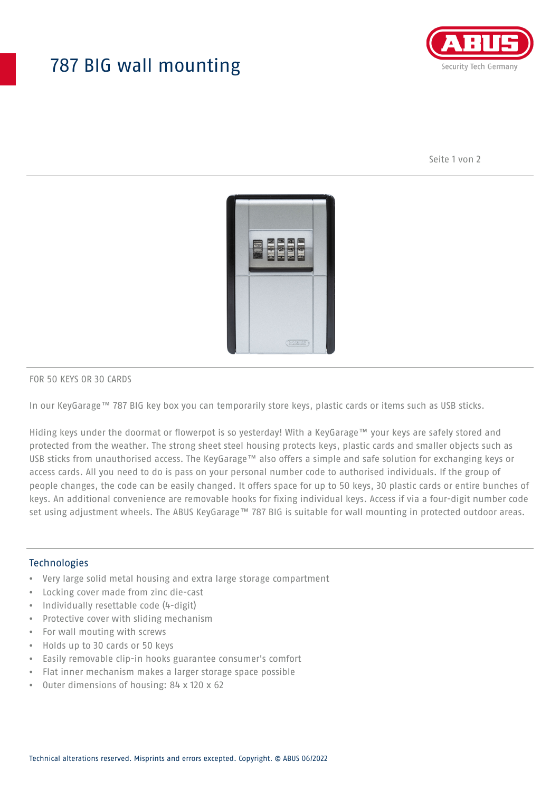# 787 BIG wall mounting



Seite 1 von 2



#### FOR 50 KEYS OR 30 CARDS

In our KeyGarage™ 787 BIG key box you can temporarily store keys, plastic cards or items such as USB sticks.

Hiding keys under the doormat or flowerpot is so yesterday! With a KeyGarage™ your keys are safely stored and protected from the weather. The strong sheet steel housing protects keys, plastic cards and smaller objects such as USB sticks from unauthorised access. The KeyGarage™ also offers a simple and safe solution for exchanging keys or access cards. All you need to do is pass on your personal number code to authorised individuals. If the group of people changes, the code can be easily changed. It offers space for up to 50 keys, 30 plastic cards or entire bunches of keys. An additional convenience are removable hooks for fixing individual keys. Access if via a four-digit number code set using adjustment wheels. The ABUS KeyGarage™ 787 BIG is suitable for wall mounting in protected outdoor areas.

### **Technologies**

- Very large solid metal housing and extra large storage compartment
- Locking cover made from zinc die-cast
- Individually resettable code (4-digit)
- Protective cover with sliding mechanism
- For wall mouting with screws
- Holds up to 30 cards or 50 keys
- Easily removable clip-in hooks guarantee consumer's comfort
- Flat inner mechanism makes a larger storage space possible
- Outer dimensions of housing: 84 x 120 x 62